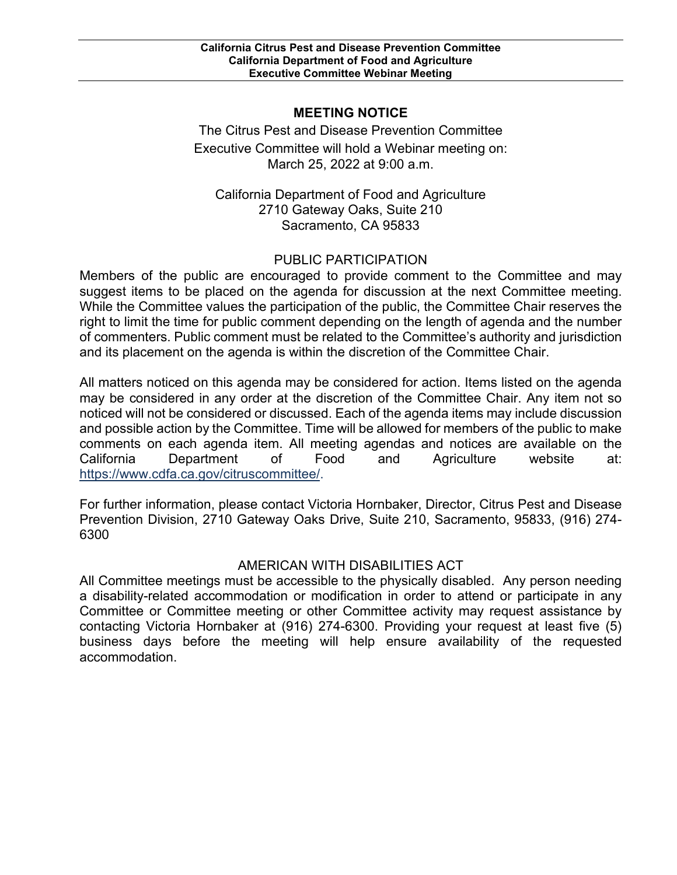## **MEETING NOTICE**

 March 25, 2022 at 9:00 a.m. The Citrus Pest and Disease Prevention Committee Executive Committee will hold a Webinar meeting on:

California Department of Food and Agriculture 2710 Gateway Oaks, Suite 210 Sacramento, CA 95833

## PUBLIC PARTICIPATION

 Members of the public are encouraged to provide comment to the Committee and may of commenters. Public comment must be related to the Committee's authority and jurisdiction suggest items to be placed on the agenda for discussion at the next Committee meeting. While the Committee values the participation of the public, the Committee Chair reserves the right to limit the time for public comment depending on the length of agenda and the number and its placement on the agenda is within the discretion of the Committee Chair.

 All matters noticed on this agenda may be considered for action. Items listed on the agenda may be considered in any order at the discretion of the Committee Chair. Any item not so noticed will not be considered or discussed. Each of the agenda items may include discussion and possible action by the Committee. Time will be allowed for members of the public to make comments on each agenda item. All meeting agendas and notices are available on the California Department of Food and Agriculture website at: [https://www.cdfa.ca.gov/citruscommittee/.](https://www.cdfa.ca.gov/citruscommittee/)

 Prevention Division, 2710 Gateway Oaks Drive, Suite 210, Sacramento, 95833, (916) 274- For further information, please contact Victoria Hornbaker, Director, Citrus Pest and Disease 6300

## AMERICAN WITH DISABILITIES ACT

 Committee or Committee meeting or other Committee activity may request assistance by contacting Victoria Hornbaker at (916) 274-6300. Providing your request at least five (5) All Committee meetings must be accessible to the physically disabled. Any person needing a disability-related accommodation or modification in order to attend or participate in any business days before the meeting will help ensure availability of the requested accommodation.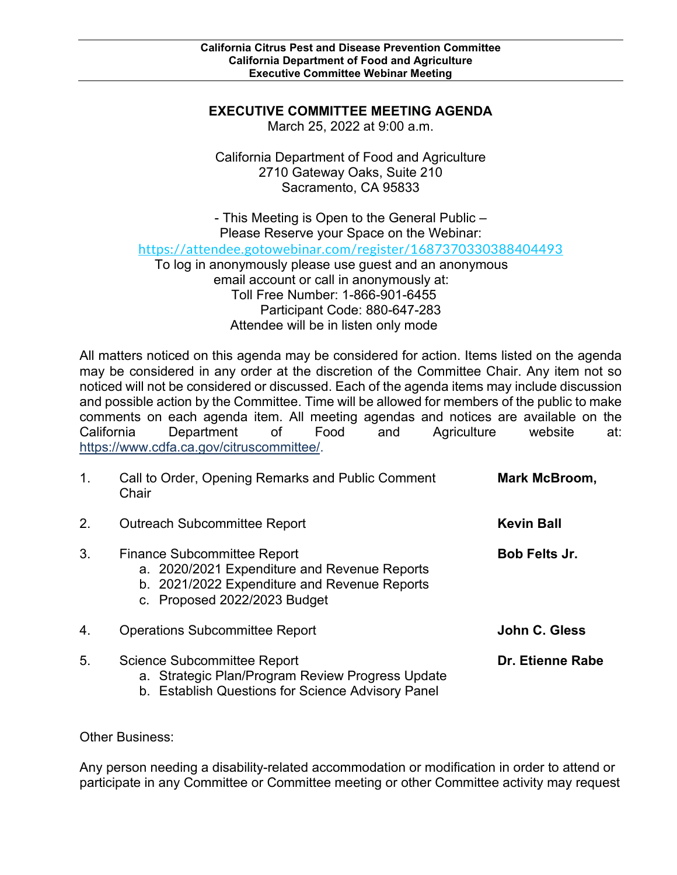## **EXECUTIVE COMMITTEE MEETING AGENDA**

March 25, 2022 at 9:00 a.m.

California Department of Food and Agriculture 2710 Gateway Oaks, Suite 210 Sacramento, CA 95833

 To log in anonymously please use guest and an anonymous email account or call in anonymously at: - This Meeting is Open to the General Public – Please Reserve your Space on the Webinar: <https://attendee.gotowebinar.com/register/1687370330388404493> Toll Free Number: 1-866-901-6455 Participant Code: 880-647-283 Attendee will be in listen only mode

 All matters noticed on this agenda may be considered for action. Items listed on the agenda may be considered in any order at the discretion of the Committee Chair. Any item not so noticed will not be considered or discussed. Each of the agenda items may include discussion and possible action by the Committee. Time will be allowed for members of the public to make comments on each agenda item. All meeting agendas and notices are available on the California Department of Food and Agriculture website at: [https://www.cdfa.ca.gov/citruscommittee/.](https://www.cdfa.ca.gov/citruscommittee/)

| $\mathbf{1}$ . | Call to Order, Opening Remarks and Public Comment<br>Chair                                                                                                         | Mark McBroom,        |
|----------------|--------------------------------------------------------------------------------------------------------------------------------------------------------------------|----------------------|
| 2.             | <b>Outreach Subcommittee Report</b>                                                                                                                                | <b>Kevin Ball</b>    |
| 3.             | <b>Finance Subcommittee Report</b><br>a. 2020/2021 Expenditure and Revenue Reports<br>b. 2021/2022 Expenditure and Revenue Reports<br>c. Proposed 2022/2023 Budget | <b>Bob Felts Jr.</b> |
| 4.             | <b>Operations Subcommittee Report</b>                                                                                                                              | John C. Gless        |
| 5.             | Science Subcommittee Report<br>a. Strategic Plan/Program Review Progress Update<br>b. Establish Questions for Science Advisory Panel                               | Dr. Etienne Rabe     |

Other Business:

Any person needing a disability-related accommodation or modification in order to attend or participate in any Committee or Committee meeting or other Committee activity may request